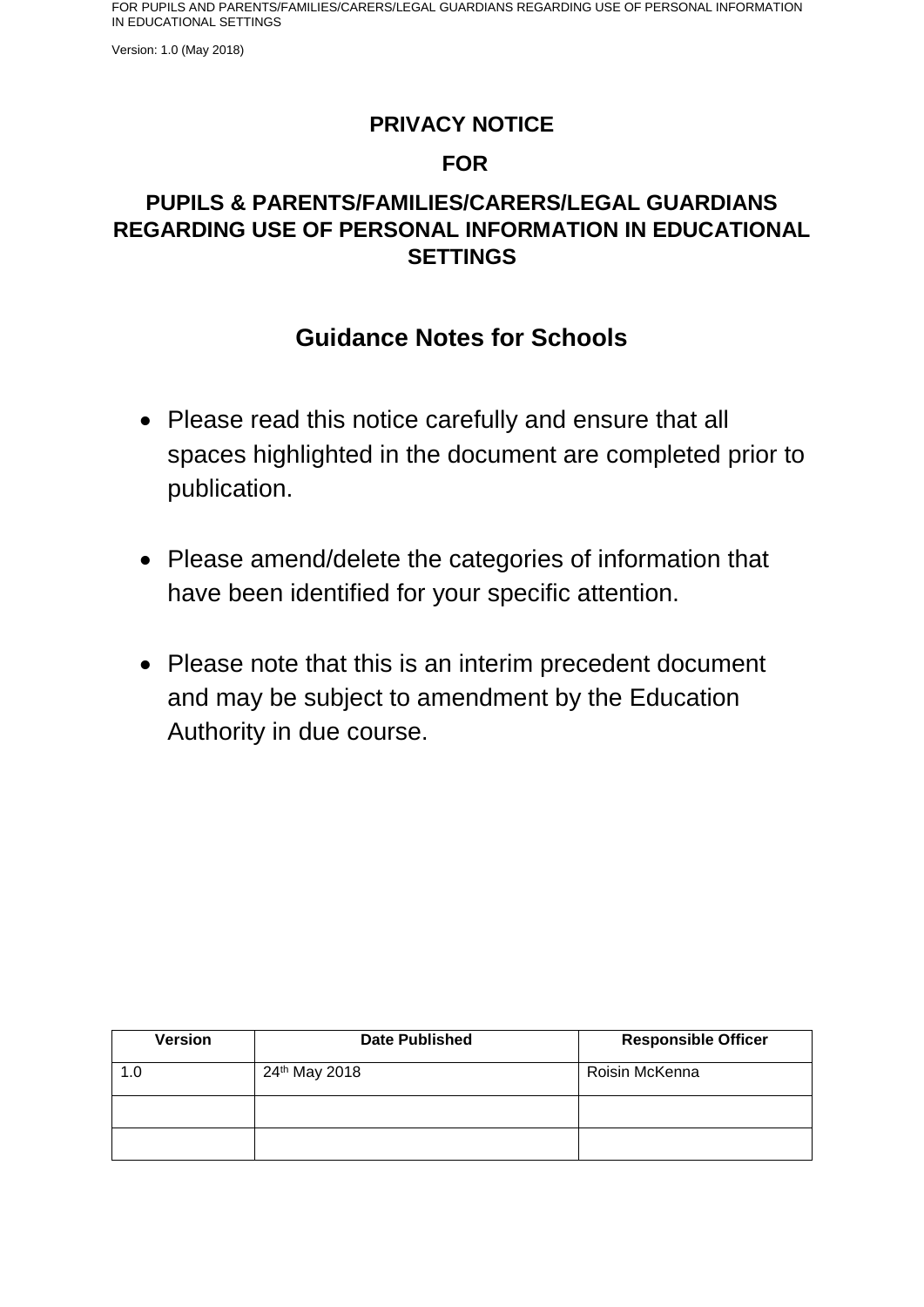Version: 1.0 (May 2018)

### **PRIVACY NOTICE**

### **FOR**

## **PUPILS & PARENTS/FAMILIES/CARERS/LEGAL GUARDIANS REGARDING USE OF PERSONAL INFORMATION IN EDUCATIONAL SETTINGS**

## **Guidance Notes for Schools**

- Please read this notice carefully and ensure that all spaces highlighted in the document are completed prior to publication.
- Please amend/delete the categories of information that have been identified for your specific attention.
- Please note that this is an interim precedent document and may be subject to amendment by the Education Authority in due course.

| <b>Version</b> | <b>Date Published</b>     | <b>Responsible Officer</b> |
|----------------|---------------------------|----------------------------|
| 1.0            | 24 <sup>th</sup> May 2018 | Roisin McKenna             |
|                |                           |                            |
|                |                           |                            |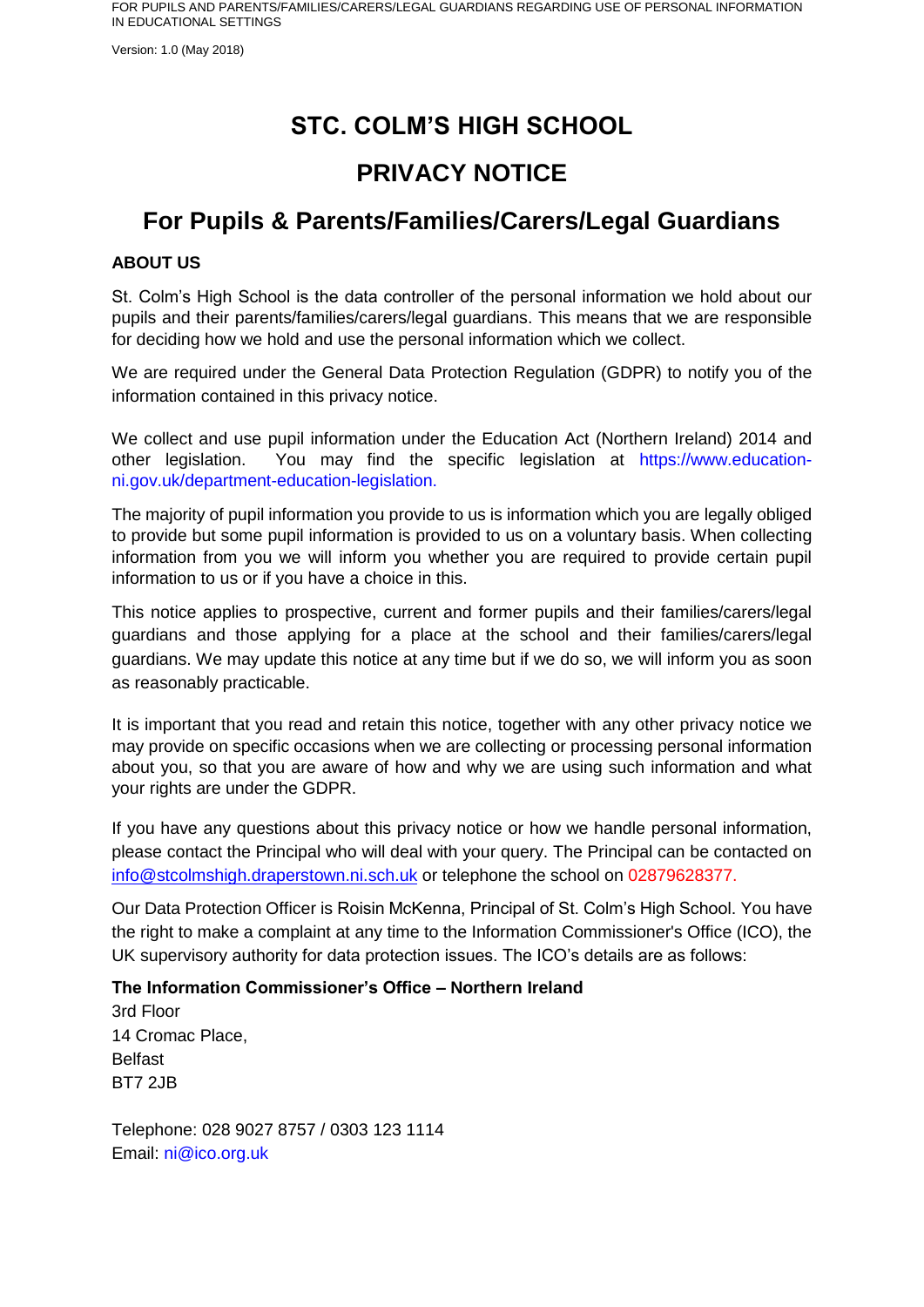Version: 1.0 (May 2018)

# **STC. COLM'S HIGH SCHOOL**

# **PRIVACY NOTICE**

# **For Pupils & Parents/Families/Carers/Legal Guardians**

#### **ABOUT US**

St. Colm's High School is the data controller of the personal information we hold about our pupils and their parents/families/carers/legal guardians. This means that we are responsible for deciding how we hold and use the personal information which we collect.

We are required under the General Data Protection Regulation (GDPR) to notify you of the information contained in this privacy notice.

We collect and use pupil information under the Education Act (Northern Ireland) 2014 and other legislation. You may find the specific legislation at https://www.educationni.gov.uk/department-education-legislation.

The majority of pupil information you provide to us is information which you are legally obliged to provide but some pupil information is provided to us on a voluntary basis. When collecting information from you we will inform you whether you are required to provide certain pupil information to us or if you have a choice in this.

This notice applies to prospective, current and former pupils and their families/carers/legal guardians and those applying for a place at the school and their families/carers/legal guardians. We may update this notice at any time but if we do so, we will inform you as soon as reasonably practicable.

It is important that you read and retain this notice, together with any other privacy notice we may provide on specific occasions when we are collecting or processing personal information about you, so that you are aware of how and why we are using such information and what your rights are under the GDPR.

If you have any questions about this privacy notice or how we handle personal information, please contact the Principal who will deal with your query. The Principal can be contacted on [info@stcolmshigh.draperstown.ni.sch.uk](mailto:info@stcolmshigh.draperstown.ni.sch.uk) or telephone the school on 02879628377.

Our Data Protection Officer is Roisin McKenna, Principal of St. Colm's High School. You have the right to make a complaint at any time to the Information Commissioner's Office (ICO), the UK supervisory authority for data protection issues. The ICO's details are as follows:

**The Information Commissioner's Office – Northern Ireland**

3rd Floor 14 Cromac Place, Belfast BT7 2JB

Telephone: 028 9027 8757 / 0303 123 1114 Email: ni@ico.org.uk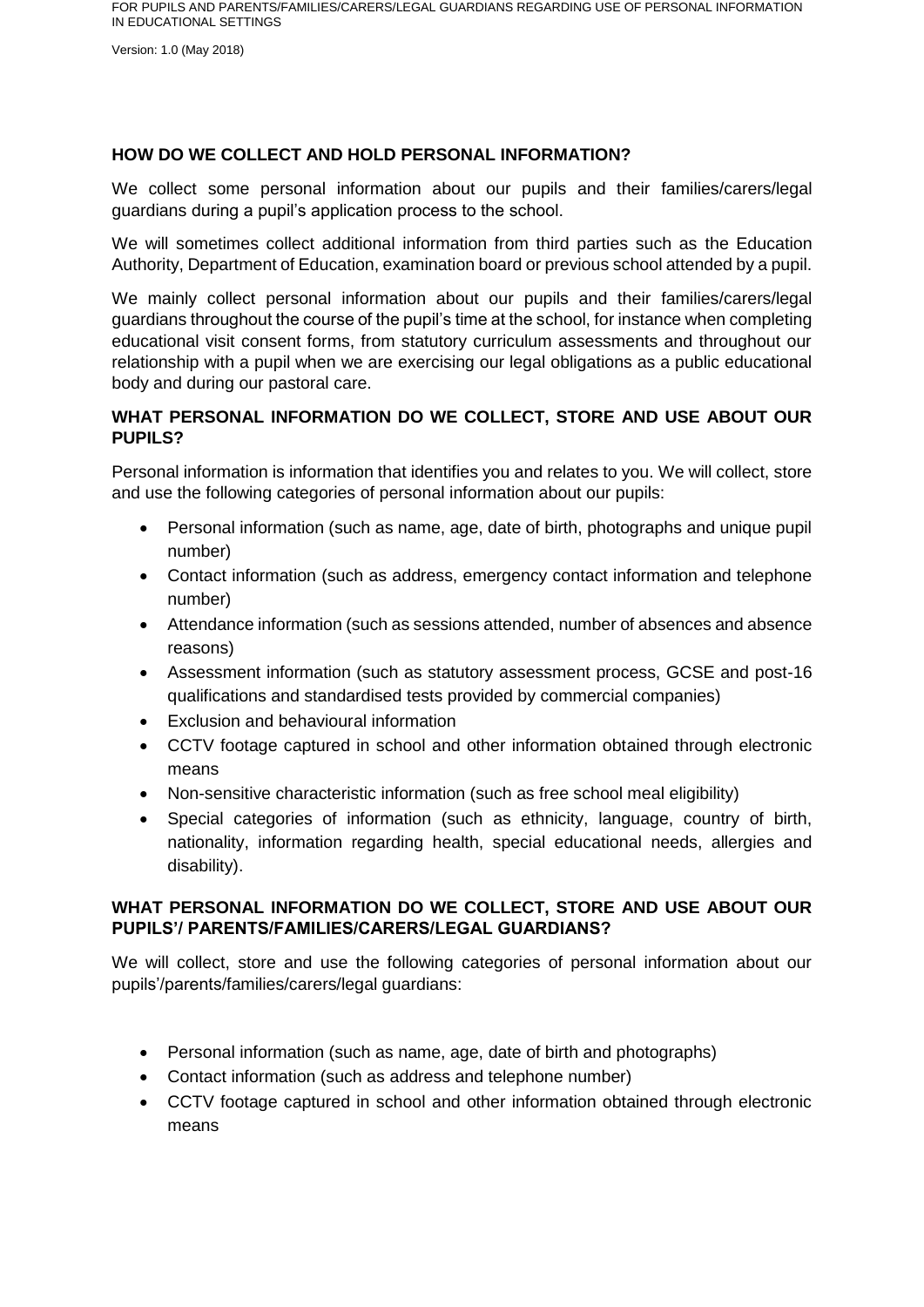Version: 1.0 (May 2018)

#### **HOW DO WE COLLECT AND HOLD PERSONAL INFORMATION?**

We collect some personal information about our pupils and their families/carers/legal guardians during a pupil's application process to the school.

We will sometimes collect additional information from third parties such as the Education Authority, Department of Education, examination board or previous school attended by a pupil.

We mainly collect personal information about our pupils and their families/carers/legal guardians throughout the course of the pupil's time at the school, for instance when completing educational visit consent forms, from statutory curriculum assessments and throughout our relationship with a pupil when we are exercising our legal obligations as a public educational body and during our pastoral care.

#### **WHAT PERSONAL INFORMATION DO WE COLLECT, STORE AND USE ABOUT OUR PUPILS?**

Personal information is information that identifies you and relates to you. We will collect, store and use the following categories of personal information about our pupils:

- Personal information (such as name, age, date of birth, photographs and unique pupil number)
- Contact information (such as address, emergency contact information and telephone number)
- Attendance information (such as sessions attended, number of absences and absence reasons)
- Assessment information (such as statutory assessment process, GCSE and post-16 qualifications and standardised tests provided by commercial companies)
- Exclusion and behavioural information
- CCTV footage captured in school and other information obtained through electronic means
- Non-sensitive characteristic information (such as free school meal eligibility)
- Special categories of information (such as ethnicity, language, country of birth, nationality, information regarding health, special educational needs, allergies and disability).

#### **WHAT PERSONAL INFORMATION DO WE COLLECT, STORE AND USE ABOUT OUR PUPILS'/ PARENTS/FAMILIES/CARERS/LEGAL GUARDIANS?**

We will collect, store and use the following categories of personal information about our pupils'/parents/families/carers/legal guardians:

- Personal information (such as name, age, date of birth and photographs)
- Contact information (such as address and telephone number)
- CCTV footage captured in school and other information obtained through electronic means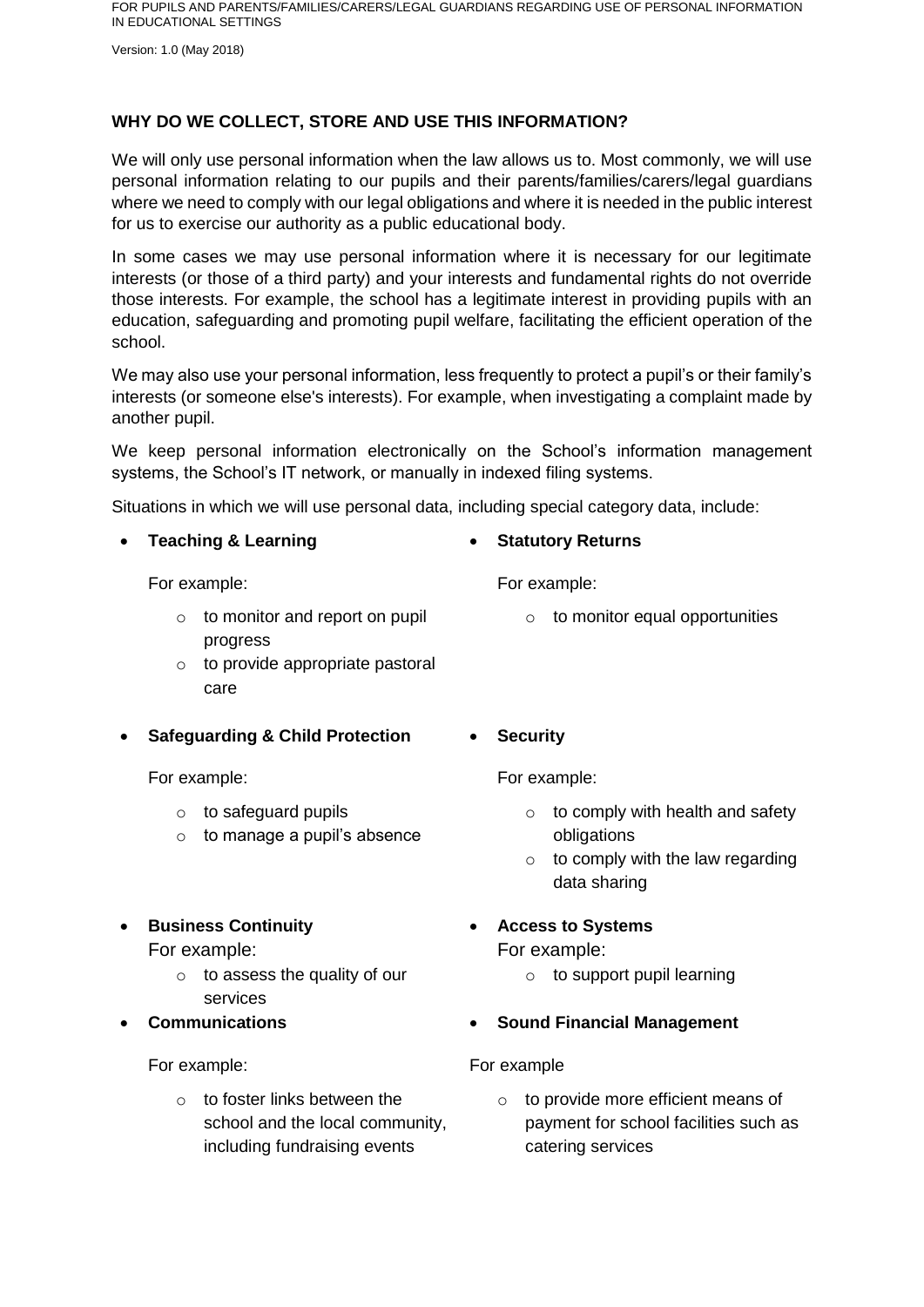Version: 1.0 (May 2018)

#### **WHY DO WE COLLECT, STORE AND USE THIS INFORMATION?**

We will only use personal information when the law allows us to. Most commonly, we will use personal information relating to our pupils and their parents/families/carers/legal guardians where we need to comply with our legal obligations and where it is needed in the public interest for us to exercise our authority as a public educational body.

In some cases we may use personal information where it is necessary for our legitimate interests (or those of a third party) and your interests and fundamental rights do not override those interests. For example, the school has a legitimate interest in providing pupils with an education, safeguarding and promoting pupil welfare, facilitating the efficient operation of the school.

We may also use your personal information, less frequently to protect a pupil's or their family's interests (or someone else's interests). For example, when investigating a complaint made by another pupil.

We keep personal information electronically on the School's information management systems, the School's IT network, or manually in indexed filing systems.

Situations in which we will use personal data, including special category data, include:

**Teaching & Learning**

For example:

- $\circ$  to monitor and report on pupil progress
- o to provide appropriate pastoral care
- **Safeguarding & Child Protection**

For example:

- o to safeguard pupils
- $\circ$  to manage a pupil's absence
- **Business Continuity**

For example:

- $\circ$  to assess the quality of our services
- **Communications**

For example:

 $\circ$  to foster links between the school and the local community, including fundraising events

**Security**

For example:

**Statutory Returns**

For example:

o to comply with health and safety obligations

 $\circ$  to monitor equal opportunities

- $\circ$  to comply with the law regarding data sharing
- **Access to Systems**

For example:

o to support pupil learning

#### **Sound Financial Management**

#### For example

o to provide more efficient means of payment for school facilities such as catering services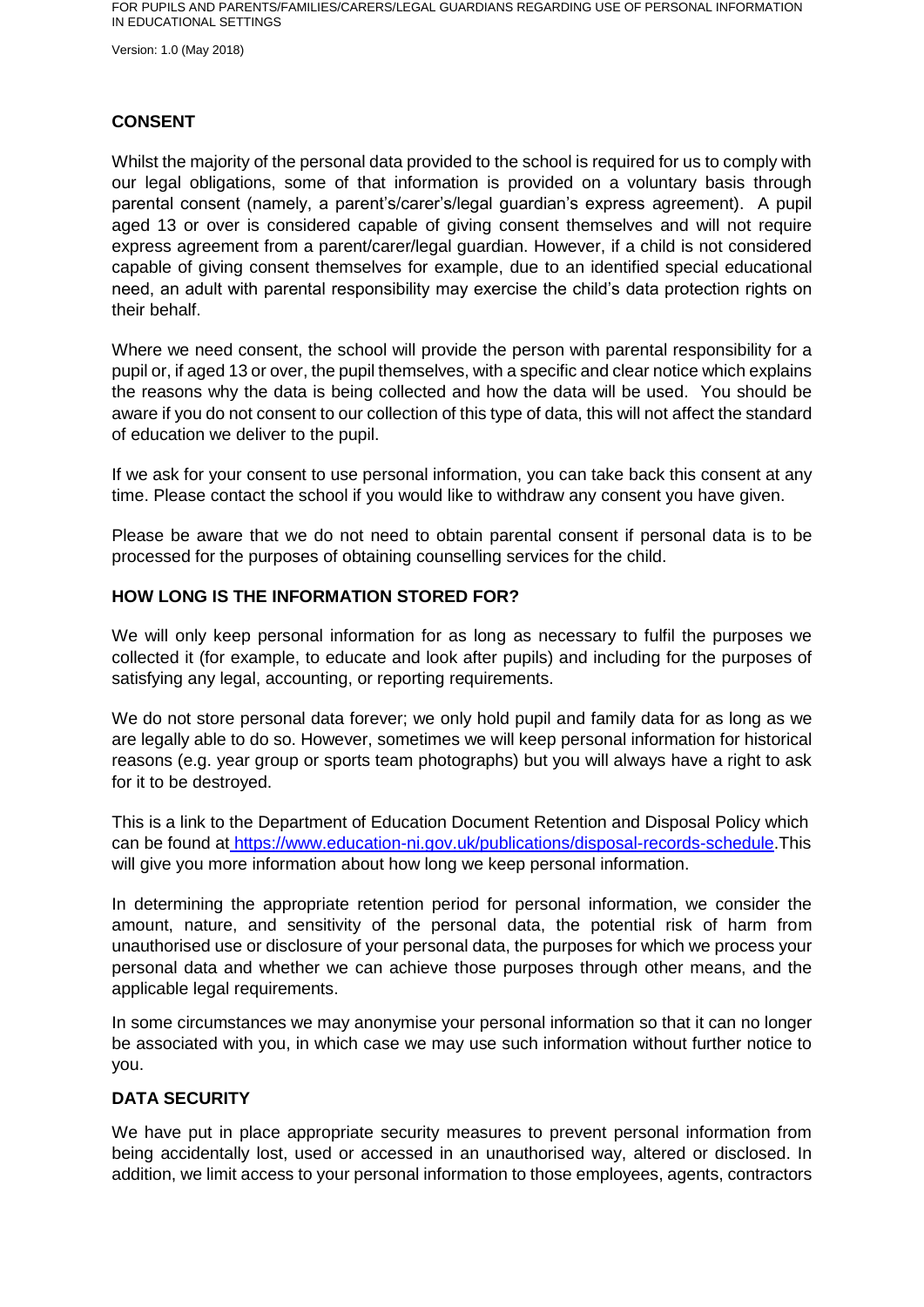Version: 1.0 (May 2018)

#### **CONSENT**

Whilst the majority of the personal data provided to the school is required for us to comply with our legal obligations, some of that information is provided on a voluntary basis through parental consent (namely, a parent's/carer's/legal guardian's express agreement). A pupil aged 13 or over is considered capable of giving consent themselves and will not require express agreement from a parent/carer/legal guardian. However, if a child is not considered capable of giving consent themselves for example, due to an identified special educational need, an adult with parental responsibility may exercise the child's data protection rights on their behalf.

Where we need consent, the school will provide the person with parental responsibility for a pupil or, if aged 13 or over, the pupil themselves, with a specific and clear notice which explains the reasons why the data is being collected and how the data will be used. You should be aware if you do not consent to our collection of this type of data, this will not affect the standard of education we deliver to the pupil.

If we ask for your consent to use personal information, you can take back this consent at any time. Please contact the school if you would like to withdraw any consent you have given.

Please be aware that we do not need to obtain parental consent if personal data is to be processed for the purposes of obtaining counselling services for the child.

#### **HOW LONG IS THE INFORMATION STORED FOR?**

We will only keep personal information for as long as necessary to fulfil the purposes we collected it (for example, to educate and look after pupils) and including for the purposes of satisfying any legal, accounting, or reporting requirements.

We do not store personal data forever; we only hold pupil and family data for as long as we are legally able to do so. However, sometimes we will keep personal information for historical reasons (e.g. year group or sports team photographs) but you will always have a right to ask for it to be destroyed.

This is a link to the Department of Education Document Retention and Disposal Policy which can be found at [https://www.education-ni.gov.uk/publications/disposal-records-schedule.](https://www.education-ni.gov.uk/publications/disposal-records-schedule)This will give you more information about how long we keep personal information.

In determining the appropriate retention period for personal information, we consider the amount, nature, and sensitivity of the personal data, the potential risk of harm from unauthorised use or disclosure of your personal data, the purposes for which we process your personal data and whether we can achieve those purposes through other means, and the applicable legal requirements.

In some circumstances we may anonymise your personal information so that it can no longer be associated with you, in which case we may use such information without further notice to you.

#### **DATA SECURITY**

We have put in place appropriate security measures to prevent personal information from being accidentally lost, used or accessed in an unauthorised way, altered or disclosed. In addition, we limit access to your personal information to those employees, agents, contractors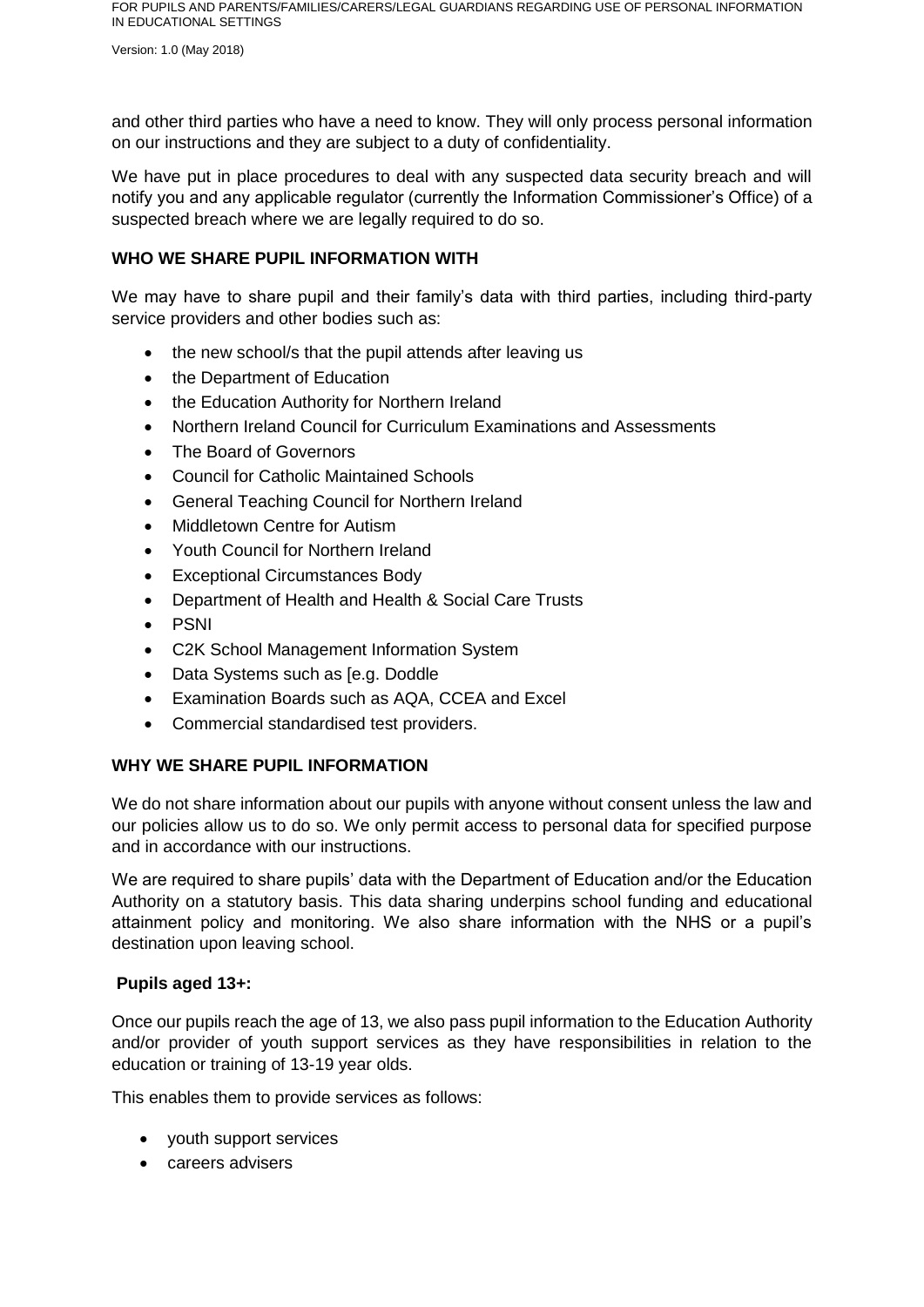Version: 1.0 (May 2018)

and other third parties who have a need to know. They will only process personal information on our instructions and they are subject to a duty of confidentiality.

We have put in place procedures to deal with any suspected data security breach and will notify you and any applicable regulator (currently the Information Commissioner's Office) of a suspected breach where we are legally required to do so.

#### **WHO WE SHARE PUPIL INFORMATION WITH**

We may have to share pupil and their family's data with third parties, including third-party service providers and other bodies such as:

- the new school/s that the pupil attends after leaving us
- the Department of Education
- the Education Authority for Northern Ireland
- Northern Ireland Council for Curriculum Examinations and Assessments
- The Board of Governors
- Council for Catholic Maintained Schools
- General Teaching Council for Northern Ireland
- Middletown Centre for Autism
- Youth Council for Northern Ireland
- Exceptional Circumstances Body
- Department of Health and Health & Social Care Trusts
- $\bullet$  PSNI
- C2K School Management Information System
- Data Systems such as Ie.g. Doddle
- Examination Boards such as AQA, CCEA and Excel
- Commercial standardised test providers.

#### **WHY WE SHARE PUPIL INFORMATION**

We do not share information about our pupils with anyone without consent unless the law and our policies allow us to do so. We only permit access to personal data for specified purpose and in accordance with our instructions.

We are required to share pupils' data with the Department of Education and/or the Education Authority on a statutory basis. This data sharing underpins school funding and educational attainment policy and monitoring. We also share information with the NHS or a pupil's destination upon leaving school.

#### **Pupils aged 13+:**

Once our pupils reach the age of 13, we also pass pupil information to the Education Authority and/or provider of youth support services as they have responsibilities in relation to the education or training of 13-19 year olds.

This enables them to provide services as follows:

- youth support services
- careers advisers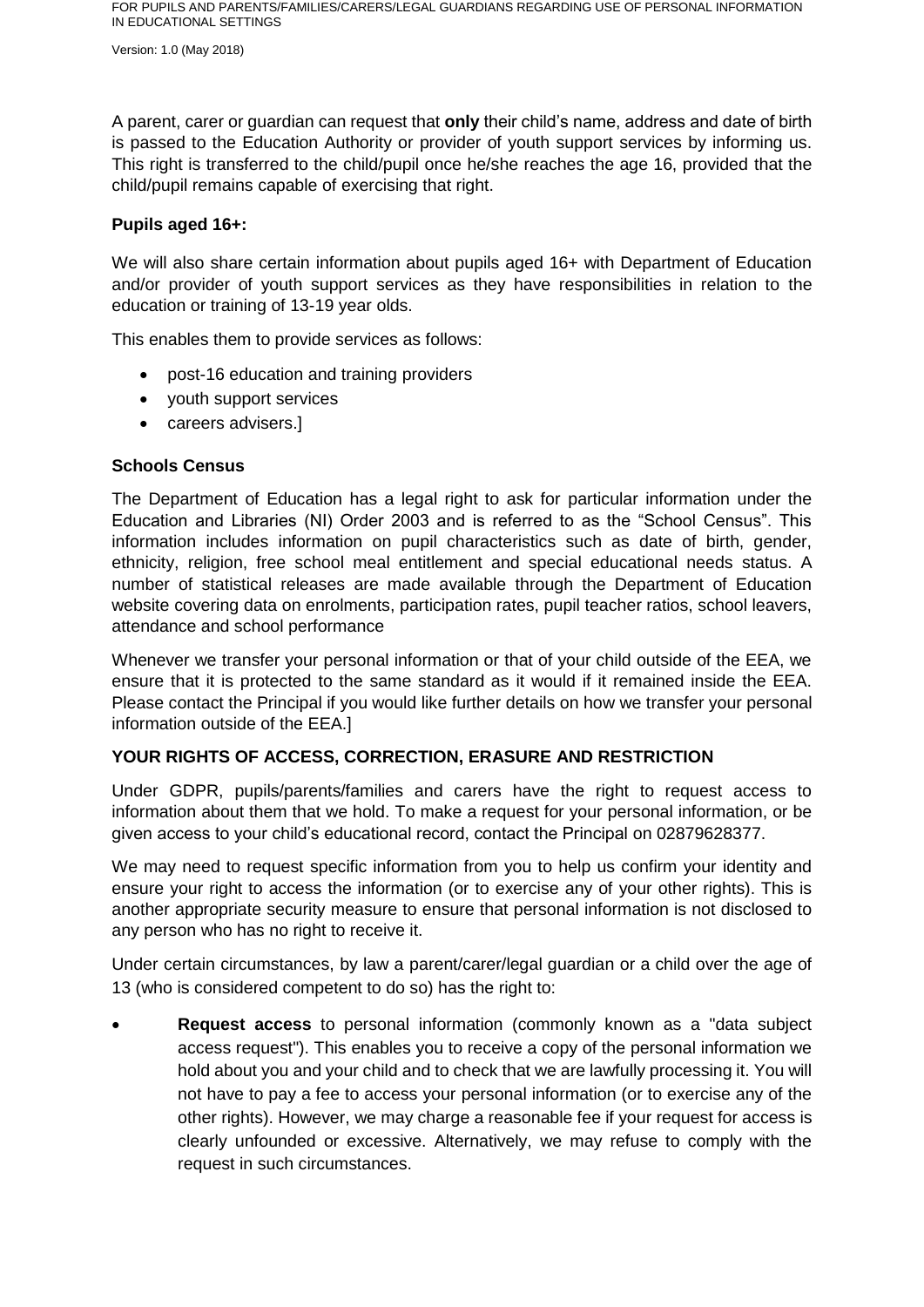Version: 1.0 (May 2018)

A parent, carer or guardian can request that **only** their child's name, address and date of birth is passed to the Education Authority or provider of youth support services by informing us. This right is transferred to the child/pupil once he/she reaches the age 16, provided that the child/pupil remains capable of exercising that right.

#### **Pupils aged 16+:**

We will also share certain information about pupils aged 16+ with Department of Education and/or provider of youth support services as they have responsibilities in relation to the education or training of 13-19 year olds.

This enables them to provide services as follows:

- post-16 education and training providers
- youth support services
- careers advisers.]

#### **Schools Census**

The Department of Education has a legal right to ask for particular information under the Education and Libraries (NI) Order 2003 and is referred to as the "School Census". This information includes information on pupil characteristics such as date of birth, gender, ethnicity, religion, free school meal entitlement and special educational needs status. A number of statistical releases are made available through the Department of Education website covering data on enrolments, participation rates, pupil teacher ratios, school leavers, attendance and school performance

Whenever we transfer your personal information or that of your child outside of the EEA, we ensure that it is protected to the same standard as it would if it remained inside the EEA. Please contact the Principal if you would like further details on how we transfer your personal information outside of the EEA.]

#### **YOUR RIGHTS OF ACCESS, CORRECTION, ERASURE AND RESTRICTION**

Under GDPR, pupils/parents/families and carers have the right to request access to information about them that we hold. To make a request for your personal information, or be given access to your child's educational record, contact the Principal on 02879628377.

We may need to request specific information from you to help us confirm your identity and ensure your right to access the information (or to exercise any of your other rights). This is another appropriate security measure to ensure that personal information is not disclosed to any person who has no right to receive it.

Under certain circumstances, by law a parent/carer/legal guardian or a child over the age of 13 (who is considered competent to do so) has the right to:

 **Request access** to personal information (commonly known as a "data subject access request"). This enables you to receive a copy of the personal information we hold about you and your child and to check that we are lawfully processing it. You will not have to pay a fee to access your personal information (or to exercise any of the other rights). However, we may charge a reasonable fee if your request for access is clearly unfounded or excessive. Alternatively, we may refuse to comply with the request in such circumstances.